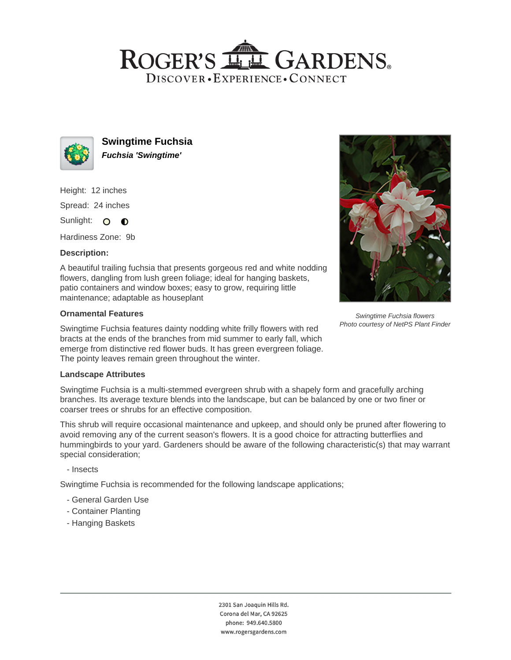## ROGER'S LL GARDENS. DISCOVER · EXPERIENCE · CONNECT



**Swingtime Fuchsia Fuchsia 'Swingtime'**

Height: 12 inches Spread: 24 inches

Sunlight: O **O** 

Hardiness Zone: 9b

### **Description:**

A beautiful trailing fuchsia that presents gorgeous red and white nodding flowers, dangling from lush green foliage; ideal for hanging baskets, patio containers and window boxes; easy to grow, requiring little maintenance; adaptable as houseplant

#### **Ornamental Features**

Swingtime Fuchsia features dainty nodding white frilly flowers with red bracts at the ends of the branches from mid summer to early fall, which emerge from distinctive red flower buds. It has green evergreen foliage. The pointy leaves remain green throughout the winter.



Swingtime Fuchsia is a multi-stemmed evergreen shrub with a shapely form and gracefully arching branches. Its average texture blends into the landscape, but can be balanced by one or two finer or coarser trees or shrubs for an effective composition.

This shrub will require occasional maintenance and upkeep, and should only be pruned after flowering to avoid removing any of the current season's flowers. It is a good choice for attracting butterflies and hummingbirds to your yard. Gardeners should be aware of the following characteristic(s) that may warrant special consideration;

- Insects

Swingtime Fuchsia is recommended for the following landscape applications;

- General Garden Use
- Container Planting
- Hanging Baskets



Swingtime Fuchsia flowers Photo courtesy of NetPS Plant Finder